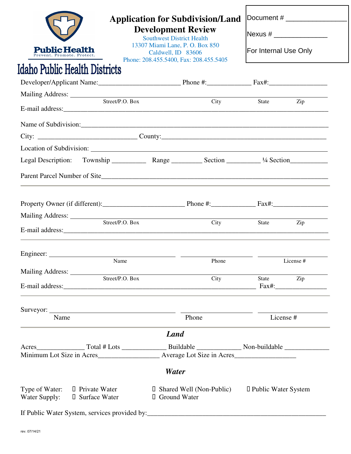|                                                                                      |                                | <b>Application for Subdivision/Land</b><br><b>Development Review</b><br><b>Southwest District Health</b><br>13307 Miami Lane, P. O. Box 850<br>Caldwell, ID 83606<br>Phone: 208.455.5400, Fax: 208.455.5405 |                     |                          |  |  |  |
|--------------------------------------------------------------------------------------|--------------------------------|-------------------------------------------------------------------------------------------------------------------------------------------------------------------------------------------------------------|---------------------|--------------------------|--|--|--|
|                                                                                      |                                |                                                                                                                                                                                                             |                     | Nexus # ________________ |  |  |  |
|                                                                                      |                                |                                                                                                                                                                                                             |                     |                          |  |  |  |
| <b>Public Health</b><br>event. Promote. Protect.                                     |                                |                                                                                                                                                                                                             |                     | For Internal Use Only    |  |  |  |
| <b>Idaho Public Health Districts</b>                                                 |                                |                                                                                                                                                                                                             |                     |                          |  |  |  |
|                                                                                      |                                |                                                                                                                                                                                                             |                     |                          |  |  |  |
|                                                                                      |                                | Mailing Address: Street/P.O. Box City                                                                                                                                                                       |                     |                          |  |  |  |
|                                                                                      |                                |                                                                                                                                                                                                             | State               | Zip                      |  |  |  |
|                                                                                      |                                |                                                                                                                                                                                                             |                     |                          |  |  |  |
| City: $\_\_\_\_\_\_\_\_\_\_$ County: $\_\_\_\_\_\_\_\_$ County: $\_\_\_\_\_\_\_\_\_$ |                                |                                                                                                                                                                                                             |                     |                          |  |  |  |
|                                                                                      |                                | Location of Subdivision: Manual Contract of Subdivision:                                                                                                                                                    |                     |                          |  |  |  |
| Legal Description:                                                                   |                                |                                                                                                                                                                                                             |                     |                          |  |  |  |
|                                                                                      |                                |                                                                                                                                                                                                             |                     |                          |  |  |  |
|                                                                                      |                                | Property Owner (if different): Phone #: Fax#: Fax#:                                                                                                                                                         |                     |                          |  |  |  |
|                                                                                      |                                |                                                                                                                                                                                                             |                     |                          |  |  |  |
|                                                                                      |                                | City                                                                                                                                                                                                        | <b>State</b>        | Zip                      |  |  |  |
|                                                                                      |                                | <u> 1989 - Andrea State Barbara, político e a contrar a filho de la filha de la filho de la filha de la filha de</u>                                                                                        |                     |                          |  |  |  |
| Name                                                                                 |                                | Phone                                                                                                                                                                                                       |                     | License #                |  |  |  |
| Street/P.O. Box                                                                      |                                | City                                                                                                                                                                                                        | State Zip           |                          |  |  |  |
|                                                                                      |                                |                                                                                                                                                                                                             |                     |                          |  |  |  |
|                                                                                      |                                |                                                                                                                                                                                                             |                     |                          |  |  |  |
| Name                                                                                 |                                | Phone                                                                                                                                                                                                       | License #           |                          |  |  |  |
|                                                                                      |                                | <b>Land</b>                                                                                                                                                                                                 |                     |                          |  |  |  |
|                                                                                      |                                | Minimum Lot Size in Acres________________________ Average Lot Size in Acres___________________________________                                                                                              |                     |                          |  |  |  |
|                                                                                      |                                | Water                                                                                                                                                                                                       |                     |                          |  |  |  |
| Type of Water:<br>Water Supply:                                                      | Private Water<br>Surface Water | Shared Well (Non-Public)<br>Ground Water                                                                                                                                                                    | Public Water System |                          |  |  |  |
|                                                                                      |                                | If Public Water System, services provided by:<br><u>Fig. 2.1.</u>                                                                                                                                           |                     |                          |  |  |  |